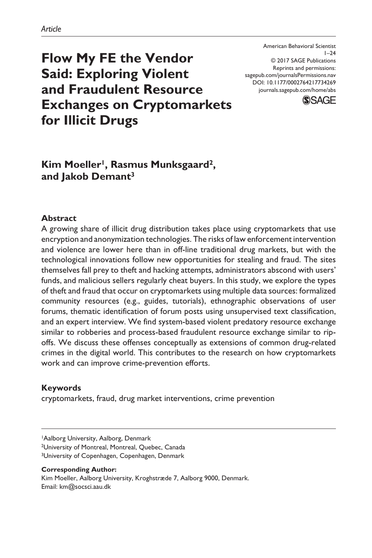DOI: 10.1177/0002764217734269 American Behavioral Scientist  $1 - 24$ © 2017 SAGE Publications Reprints and permissions: [sagepub.com/journalsPermissions.nav](https://us.sagepub.com/en-us/journals-permissions) [journals.sagepub.com/home/abs](https://journals.sagepub.com/home/abs)



# **Flow My FE the Vendor Said: Exploring Violent and Fraudulent Resource Exchanges on Cryptomarkets for Illicit Drugs**

# **Kim Moeller1, Rasmus Munksgaard2, and Jakob Demant3**

### **Abstract**

A growing share of illicit drug distribution takes place using cryptomarkets that use encryption and anonymization technologies. The risks of law enforcement intervention and violence are lower here than in off-line traditional drug markets, but with the technological innovations follow new opportunities for stealing and fraud. The sites themselves fall prey to theft and hacking attempts, administrators abscond with users' funds, and malicious sellers regularly cheat buyers. In this study, we explore the types of theft and fraud that occur on cryptomarkets using multiple data sources: formalized community resources (e.g., guides, tutorials), ethnographic observations of user forums, thematic identification of forum posts using unsupervised text classification, and an expert interview. We find system-based violent predatory resource exchange similar to robberies and process-based fraudulent resource exchange similar to ripoffs. We discuss these offenses conceptually as extensions of common drug-related crimes in the digital world. This contributes to the research on how cryptomarkets work and can improve crime-prevention efforts.

### **Keywords**

cryptomarkets, fraud, drug market interventions, crime prevention

2University of Montreal, Montreal, Quebec, Canada

3University of Copenhagen, Copenhagen, Denmark

#### **Corresponding Author:**

Kim Moeller, Aalborg University, Kroghstræde 7, Aalborg 9000, Denmark. Email: [km@socsci.aau.dk](mailto:km@socsci.aau.dk)

<sup>1</sup>Aalborg University, Aalborg, Denmark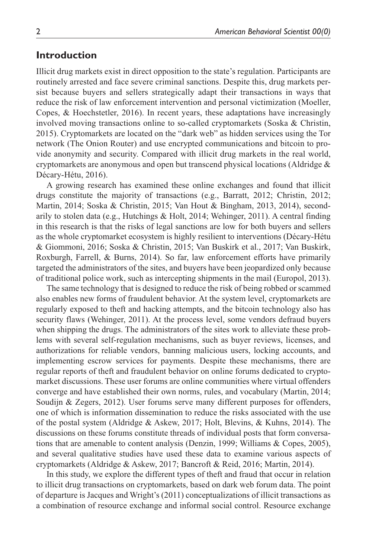### **Introduction**

Illicit drug markets exist in direct opposition to the state's regulation. Participants are routinely arrested and face severe criminal sanctions. Despite this, drug markets persist because buyers and sellers strategically adapt their transactions in ways that reduce the risk of law enforcement intervention and personal victimization (Moeller, Copes, & Hoechstetler, 2016). In recent years, these adaptations have increasingly involved moving transactions online to so-called cryptomarkets (Soska & Christin, 2015). Cryptomarkets are located on the "dark web" as hidden services using the Tor network (The Onion Router) and use encrypted communications and bitcoin to provide anonymity and security. Compared with illicit drug markets in the real world, cryptomarkets are anonymous and open but transcend physical locations (Aldridge & Décary-Hétu, 2016).

A growing research has examined these online exchanges and found that illicit drugs constitute the majority of transactions (e.g., Barratt, 2012; Christin, 2012; Martin, 2014; Soska & Christin, 2015; Van Hout & Bingham, 2013, 2014), secondarily to stolen data (e.g., Hutchings & Holt, 2014; Wehinger, 2011). A central finding in this research is that the risks of legal sanctions are low for both buyers and sellers as the whole cryptomarket ecosystem is highly resilient to interventions (Décary-Hétu & Giommoni, 2016; Soska & Christin, 2015; Van Buskirk et al., 2017; Van Buskirk, Roxburgh, Farrell, & Burns, 2014). So far, law enforcement efforts have primarily targeted the administrators of the sites, and buyers have been jeopardized only because of traditional police work, such as intercepting shipments in the mail (Europol, 2013).

The same technology that is designed to reduce the risk of being robbed or scammed also enables new forms of fraudulent behavior. At the system level, cryptomarkets are regularly exposed to theft and hacking attempts, and the bitcoin technology also has security flaws (Wehinger, 2011). At the process level, some vendors defraud buyers when shipping the drugs. The administrators of the sites work to alleviate these problems with several self-regulation mechanisms, such as buyer reviews, licenses, and authorizations for reliable vendors, banning malicious users, locking accounts, and implementing escrow services for payments. Despite these mechanisms, there are regular reports of theft and fraudulent behavior on online forums dedicated to cryptomarket discussions. These user forums are online communities where virtual offenders converge and have established their own norms, rules, and vocabulary (Martin, 2014; Soudijn & Zegers, 2012). User forums serve many different purposes for offenders, one of which is information dissemination to reduce the risks associated with the use of the postal system (Aldridge & Askew, 2017; Holt, Blevins, & Kuhns, 2014). The discussions on these forums constitute threads of individual posts that form conversations that are amenable to content analysis (Denzin, 1999; Williams & Copes, 2005), and several qualitative studies have used these data to examine various aspects of cryptomarkets (Aldridge & Askew, 2017; Bancroft & Reid, 2016; Martin, 2014).

In this study, we explore the different types of theft and fraud that occur in relation to illicit drug transactions on cryptomarkets, based on dark web forum data. The point of departure is Jacques and Wright's (2011) conceptualizations of illicit transactions as a combination of resource exchange and informal social control. Resource exchange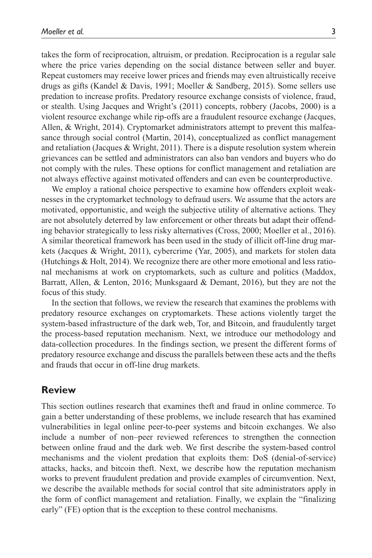takes the form of reciprocation, altruism, or predation. Reciprocation is a regular sale where the price varies depending on the social distance between seller and buyer. Repeat customers may receive lower prices and friends may even altruistically receive drugs as gifts (Kandel & Davis, 1991; Moeller & Sandberg, 2015). Some sellers use predation to increase profits. Predatory resource exchange consists of violence, fraud, or stealth. Using Jacques and Wright's (2011) concepts, robbery (Jacobs, 2000) is a violent resource exchange while rip-offs are a fraudulent resource exchange (Jacques, Allen, & Wright, 2014). Cryptomarket administrators attempt to prevent this malfeasance through social control (Martin, 2014), conceptualized as conflict management and retaliation (Jacques & Wright, 2011). There is a dispute resolution system wherein grievances can be settled and administrators can also ban vendors and buyers who do not comply with the rules. These options for conflict management and retaliation are not always effective against motivated offenders and can even be counterproductive.

We employ a rational choice perspective to examine how offenders exploit weaknesses in the cryptomarket technology to defraud users. We assume that the actors are motivated, opportunistic, and weigh the subjective utility of alternative actions. They are not absolutely deterred by law enforcement or other threats but adapt their offending behavior strategically to less risky alternatives (Cross, 2000; Moeller et al., 2016). A similar theoretical framework has been used in the study of illicit off-line drug markets (Jacques & Wright, 2011), cybercrime (Yar, 2005), and markets for stolen data (Hutchings & Holt, 2014). We recognize there are other more emotional and less rational mechanisms at work on cryptomarkets, such as culture and politics (Maddox, Barratt, Allen, & Lenton, 2016; Munksgaard & Demant, 2016), but they are not the focus of this study.

In the section that follows, we review the research that examines the problems with predatory resource exchanges on cryptomarkets. These actions violently target the system-based infrastructure of the dark web, Tor, and Bitcoin, and fraudulently target the process-based reputation mechanism. Next, we introduce our methodology and data-collection procedures. In the findings section, we present the different forms of predatory resource exchange and discuss the parallels between these acts and the thefts and frauds that occur in off-line drug markets.

### **Review**

This section outlines research that examines theft and fraud in online commerce. To gain a better understanding of these problems, we include research that has examined vulnerabilities in legal online peer-to-peer systems and bitcoin exchanges. We also include a number of non–peer reviewed references to strengthen the connection between online fraud and the dark web. We first describe the system-based control mechanisms and the violent predation that exploits them: DoS (denial-of-service) attacks, hacks, and bitcoin theft. Next, we describe how the reputation mechanism works to prevent fraudulent predation and provide examples of circumvention. Next, we describe the available methods for social control that site administrators apply in the form of conflict management and retaliation. Finally, we explain the "finalizing early" (FE) option that is the exception to these control mechanisms.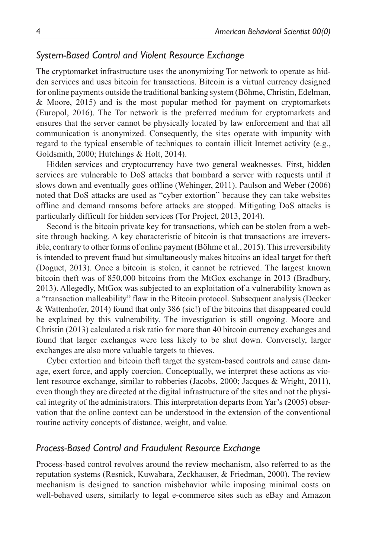### *System-Based Control and Violent Resource Exchange*

The cryptomarket infrastructure uses the anonymizing Tor network to operate as hidden services and uses bitcoin for transactions. Bitcoin is a virtual currency designed for online payments outside the traditional banking system (Böhme, Christin, Edelman, & Moore, 2015) and is the most popular method for payment on cryptomarkets (Europol, 2016). The Tor network is the preferred medium for cryptomarkets and ensures that the server cannot be physically located by law enforcement and that all communication is anonymized. Consequently, the sites operate with impunity with regard to the typical ensemble of techniques to contain illicit Internet activity (e.g., Goldsmith, 2000; Hutchings & Holt, 2014).

Hidden services and cryptocurrency have two general weaknesses. First, hidden services are vulnerable to DoS attacks that bombard a server with requests until it slows down and eventually goes offline (Wehinger, 2011). Paulson and Weber (2006) noted that DoS attacks are used as "cyber extortion" because they can take websites offline and demand ransoms before attacks are stopped. Mitigating DoS attacks is particularly difficult for hidden services (Tor Project, 2013, 2014).

Second is the bitcoin private key for transactions, which can be stolen from a website through hacking. A key characteristic of bitcoin is that transactions are irreversible, contrary to other forms of online payment (Böhme et al., 2015). This irreversibility is intended to prevent fraud but simultaneously makes bitcoins an ideal target for theft (Doguet, 2013). Once a bitcoin is stolen, it cannot be retrieved. The largest known bitcoin theft was of 850,000 bitcoins from the MtGox exchange in 2013 (Bradbury, 2013). Allegedly, MtGox was subjected to an exploitation of a vulnerability known as a "transaction malleability" flaw in the Bitcoin protocol. Subsequent analysis (Decker & Wattenhofer, 2014) found that only 386 (sic!) of the bitcoins that disappeared could be explained by this vulnerability. The investigation is still ongoing. Moore and Christin (2013) calculated a risk ratio for more than 40 bitcoin currency exchanges and found that larger exchanges were less likely to be shut down. Conversely, larger exchanges are also more valuable targets to thieves.

Cyber extortion and bitcoin theft target the system-based controls and cause damage, exert force, and apply coercion. Conceptually, we interpret these actions as violent resource exchange, similar to robberies (Jacobs, 2000; Jacques & Wright, 2011), even though they are directed at the digital infrastructure of the sites and not the physical integrity of the administrators. This interpretation departs from Yar's (2005) observation that the online context can be understood in the extension of the conventional routine activity concepts of distance, weight, and value.

#### *Process-Based Control and Fraudulent Resource Exchange*

Process-based control revolves around the review mechanism, also referred to as the reputation systems (Resnick, Kuwabara, Zeckhauser, & Friedman, 2000). The review mechanism is designed to sanction misbehavior while imposing minimal costs on well-behaved users, similarly to legal e-commerce sites such as eBay and Amazon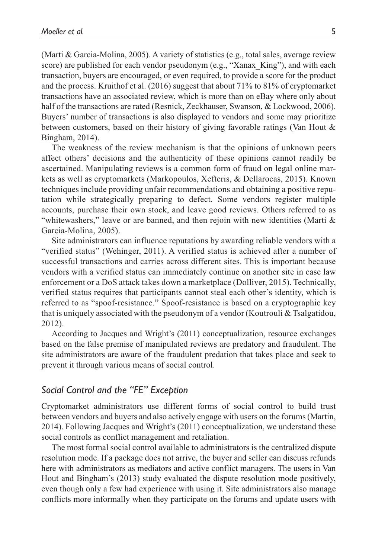(Marti & Garcia-Molina, 2005). A variety of statistics (e.g., total sales, average review score) are published for each vendor pseudonym (e.g., "Xanax\_King"), and with each transaction, buyers are encouraged, or even required, to provide a score for the product and the process. Kruithof et al. (2016) suggest that about 71% to 81% of cryptomarket transactions have an associated review, which is more than on eBay where only about half of the transactions are rated (Resnick, Zeckhauser, Swanson, & Lockwood, 2006). Buyers' number of transactions is also displayed to vendors and some may prioritize between customers, based on their history of giving favorable ratings (Van Hout & Bingham, 2014).

The weakness of the review mechanism is that the opinions of unknown peers affect others' decisions and the authenticity of these opinions cannot readily be ascertained. Manipulating reviews is a common form of fraud on legal online markets as well as cryptomarkets (Markopoulos, Xefteris, & Dellarocas, 2015). Known techniques include providing unfair recommendations and obtaining a positive reputation while strategically preparing to defect. Some vendors register multiple accounts, purchase their own stock, and leave good reviews. Others referred to as "whitewashers," leave or are banned, and then rejoin with new identities (Marti  $\&$ Garcia-Molina, 2005).

Site administrators can influence reputations by awarding reliable vendors with a "verified status" (Wehinger, 2011). A verified status is achieved after a number of successful transactions and carries across different sites. This is important because vendors with a verified status can immediately continue on another site in case law enforcement or a DoS attack takes down a marketplace (Dolliver, 2015). Technically, verified status requires that participants cannot steal each other's identity, which is referred to as "spoof-resistance." Spoof-resistance is based on a cryptographic key that is uniquely associated with the pseudonym of a vendor (Koutrouli  $\&$  Tsalgatidou, 2012).

According to Jacques and Wright's (2011) conceptualization, resource exchanges based on the false premise of manipulated reviews are predatory and fraudulent. The site administrators are aware of the fraudulent predation that takes place and seek to prevent it through various means of social control.

### *Social Control and the "FE" Exception*

Cryptomarket administrators use different forms of social control to build trust between vendors and buyers and also actively engage with users on the forums (Martin, 2014). Following Jacques and Wright's (2011) conceptualization, we understand these social controls as conflict management and retaliation.

The most formal social control available to administrators is the centralized dispute resolution mode. If a package does not arrive, the buyer and seller can discuss refunds here with administrators as mediators and active conflict managers. The users in Van Hout and Bingham's (2013) study evaluated the dispute resolution mode positively, even though only a few had experience with using it. Site administrators also manage conflicts more informally when they participate on the forums and update users with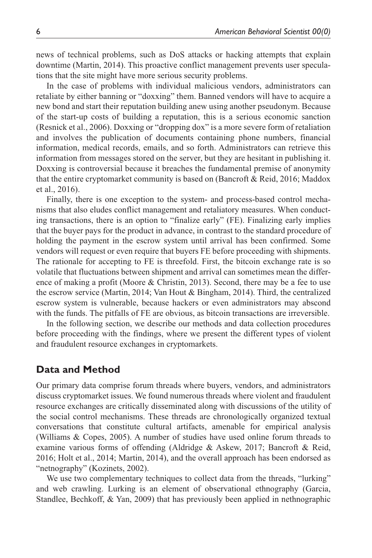news of technical problems, such as DoS attacks or hacking attempts that explain downtime (Martin, 2014). This proactive conflict management prevents user speculations that the site might have more serious security problems.

In the case of problems with individual malicious vendors, administrators can retaliate by either banning or "doxxing" them. Banned vendors will have to acquire a new bond and start their reputation building anew using another pseudonym. Because of the start-up costs of building a reputation, this is a serious economic sanction (Resnick et al., 2006). Doxxing or "dropping dox" is a more severe form of retaliation and involves the publication of documents containing phone numbers, financial information, medical records, emails, and so forth. Administrators can retrieve this information from messages stored on the server, but they are hesitant in publishing it. Doxxing is controversial because it breaches the fundamental premise of anonymity that the entire cryptomarket community is based on (Bancroft & Reid, 2016; Maddox et al., 2016).

Finally, there is one exception to the system- and process-based control mechanisms that also eludes conflict management and retaliatory measures. When conducting transactions, there is an option to "finalize early" (FE). Finalizing early implies that the buyer pays for the product in advance, in contrast to the standard procedure of holding the payment in the escrow system until arrival has been confirmed. Some vendors will request or even require that buyers FE before proceeding with shipments. The rationale for accepting to FE is threefold. First, the bitcoin exchange rate is so volatile that fluctuations between shipment and arrival can sometimes mean the difference of making a profit (Moore & Christin, 2013). Second, there may be a fee to use the escrow service (Martin, 2014; Van Hout & Bingham, 2014). Third, the centralized escrow system is vulnerable, because hackers or even administrators may abscond with the funds. The pitfalls of FE are obvious, as bitcoin transactions are irreversible.

In the following section, we describe our methods and data collection procedures before proceeding with the findings, where we present the different types of violent and fraudulent resource exchanges in cryptomarkets.

### **Data and Method**

Our primary data comprise forum threads where buyers, vendors, and administrators discuss cryptomarket issues. We found numerous threads where violent and fraudulent resource exchanges are critically disseminated along with discussions of the utility of the social control mechanisms. These threads are chronologically organized textual conversations that constitute cultural artifacts, amenable for empirical analysis (Williams & Copes, 2005). A number of studies have used online forum threads to examine various forms of offending (Aldridge & Askew, 2017; Bancroft & Reid, 2016; Holt et al., 2014; Martin, 2014), and the overall approach has been endorsed as "netnography" (Kozinets, 2002).

We use two complementary techniques to collect data from the threads, "lurking" and web crawling. Lurking is an element of observational ethnography (Garcia, Standlee, Bechkoff, & Yan, 2009) that has previously been applied in nethnographic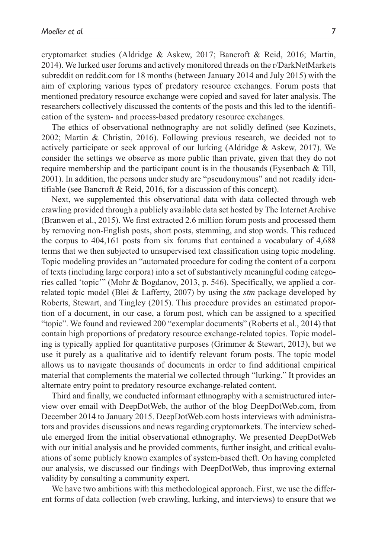cryptomarket studies (Aldridge & Askew, 2017; Bancroft & Reid, 2016; Martin, 2014). We lurked user forums and actively monitored threads on the r/DarkNetMarkets subreddit on reddit.com for 18 months (between January 2014 and July 2015) with the aim of exploring various types of predatory resource exchanges. Forum posts that mentioned predatory resource exchange were copied and saved for later analysis. The researchers collectively discussed the contents of the posts and this led to the identification of the system- and process-based predatory resource exchanges.

The ethics of observational nethnography are not solidly defined (see Kozinets, 2002; Martin & Christin, 2016). Following previous research, we decided not to actively participate or seek approval of our lurking (Aldridge & Askew, 2017). We consider the settings we observe as more public than private, given that they do not require membership and the participant count is in the thousands (Eysenbach & Till, 2001). In addition, the persons under study are "pseudonymous" and not readily identifiable (see Bancroft & Reid, 2016, for a discussion of this concept).

Next, we supplemented this observational data with data collected through web crawling provided through a publicly available data set hosted by The Internet Archive (Branwen et al., 2015). We first extracted 2.6 million forum posts and processed them by removing non-English posts, short posts, stemming, and stop words. This reduced the corpus to 404,161 posts from six forums that contained a vocabulary of 4,688 terms that we then subjected to unsupervised text classification using topic modeling. Topic modeling provides an "automated procedure for coding the content of a corpora of texts (including large corpora) into a set of substantively meaningful coding categories called 'topic'" (Mohr & Bogdanov, 2013, p. 546). Specifically, we applied a correlated topic model (Blei & Lafferty, 2007) by using the *stm* package developed by Roberts, Stewart, and Tingley (2015). This procedure provides an estimated proportion of a document, in our case, a forum post, which can be assigned to a specified "topic". We found and reviewed 200 "exemplar documents" (Roberts et al., 2014) that contain high proportions of predatory resource exchange-related topics. Topic modeling is typically applied for quantitative purposes (Grimmer & Stewart, 2013), but we use it purely as a qualitative aid to identify relevant forum posts. The topic model allows us to navigate thousands of documents in order to find additional empirical material that complements the material we collected through "lurking." It provides an alternate entry point to predatory resource exchange-related content.

Third and finally, we conducted informant ethnography with a semistructured interview over email with DeepDotWeb, the author of the blog DeepDotWeb.com, from December 2014 to January 2015. DeepDotWeb.com hosts interviews with administrators and provides discussions and news regarding cryptomarkets. The interview schedule emerged from the initial observational ethnography. We presented DeepDotWeb with our initial analysis and he provided comments, further insight, and critical evaluations of some publicly known examples of system-based theft. On having completed our analysis, we discussed our findings with DeepDotWeb, thus improving external validity by consulting a community expert.

We have two ambitions with this methodological approach. First, we use the different forms of data collection (web crawling, lurking, and interviews) to ensure that we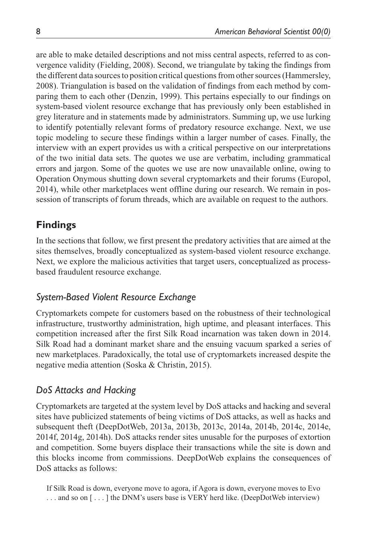are able to make detailed descriptions and not miss central aspects, referred to as convergence validity (Fielding, 2008). Second, we triangulate by taking the findings from the different data sources to position critical questions from other sources (Hammersley, 2008). Triangulation is based on the validation of findings from each method by comparing them to each other (Denzin, 1999). This pertains especially to our findings on system-based violent resource exchange that has previously only been established in grey literature and in statements made by administrators. Summing up, we use lurking to identify potentially relevant forms of predatory resource exchange. Next, we use topic modeling to secure these findings within a larger number of cases. Finally, the interview with an expert provides us with a critical perspective on our interpretations of the two initial data sets. The quotes we use are verbatim, including grammatical errors and jargon. Some of the quotes we use are now unavailable online, owing to Operation Onymous shutting down several cryptomarkets and their forums (Europol, 2014), while other marketplaces went offline during our research. We remain in possession of transcripts of forum threads, which are available on request to the authors.

# **Findings**

In the sections that follow, we first present the predatory activities that are aimed at the sites themselves, broadly conceptualized as system-based violent resource exchange. Next, we explore the malicious activities that target users, conceptualized as processbased fraudulent resource exchange.

# *System-Based Violent Resource Exchange*

Cryptomarkets compete for customers based on the robustness of their technological infrastructure, trustworthy administration, high uptime, and pleasant interfaces. This competition increased after the first Silk Road incarnation was taken down in 2014. Silk Road had a dominant market share and the ensuing vacuum sparked a series of new marketplaces. Paradoxically, the total use of cryptomarkets increased despite the negative media attention (Soska & Christin, 2015).

# *DoS Attacks and Hacking*

Cryptomarkets are targeted at the system level by DoS attacks and hacking and several sites have publicized statements of being victims of DoS attacks, as well as hacks and subsequent theft (DeepDotWeb, 2013a, 2013b, 2013c, 2014a, 2014b, 2014c, 2014e, 2014f, 2014g, 2014h). DoS attacks render sites unusable for the purposes of extortion and competition. Some buyers displace their transactions while the site is down and this blocks income from commissions. DeepDotWeb explains the consequences of DoS attacks as follows:

If Silk Road is down, everyone move to agora, if Agora is down, everyone moves to Evo . . . and so on [ . . . ] the DNM's users base is VERY herd like. (DeepDotWeb interview)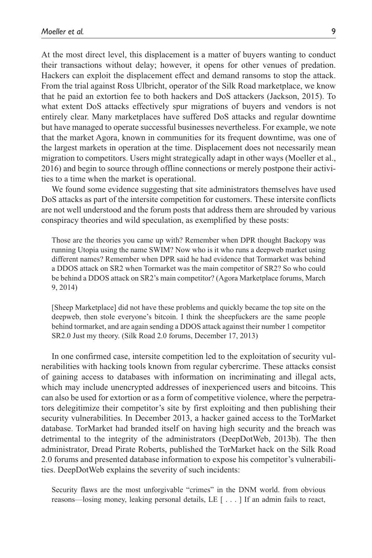At the most direct level, this displacement is a matter of buyers wanting to conduct their transactions without delay; however, it opens for other venues of predation. Hackers can exploit the displacement effect and demand ransoms to stop the attack. From the trial against Ross Ulbricht, operator of the Silk Road marketplace, we know that he paid an extortion fee to both hackers and DoS attackers (Jackson, 2015). To what extent DoS attacks effectively spur migrations of buyers and vendors is not entirely clear. Many marketplaces have suffered DoS attacks and regular downtime but have managed to operate successful businesses nevertheless. For example, we note that the market Agora, known in communities for its frequent downtime, was one of the largest markets in operation at the time. Displacement does not necessarily mean migration to competitors. Users might strategically adapt in other ways (Moeller et al., 2016) and begin to source through offline connections or merely postpone their activities to a time when the market is operational.

We found some evidence suggesting that site administrators themselves have used DoS attacks as part of the intersite competition for customers. These intersite conflicts are not well understood and the forum posts that address them are shrouded by various conspiracy theories and wild speculation, as exemplified by these posts:

Those are the theories you came up with? Remember when DPR thought Backopy was running Utopia using the name SWIM? Now who is it who runs a deepweb market using different names? Remember when DPR said he had evidence that Tormarket was behind a DDOS attack on SR2 when Tormarket was the main competitor of SR2? So who could be behind a DDOS attack on SR2's main competitor? (Agora Marketplace forums, March 9, 2014)

[Sheep Marketplace] did not have these problems and quickly became the top site on the deepweb, then stole everyone's bitcoin. I think the sheepfuckers are the same people behind tormarket, and are again sending a DDOS attack against their number 1 competitor SR2.0 Just my theory. (Silk Road 2.0 forums, December 17, 2013)

In one confirmed case, intersite competition led to the exploitation of security vulnerabilities with hacking tools known from regular cybercrime. These attacks consist of gaining access to databases with information on incriminating and illegal acts, which may include unencrypted addresses of inexperienced users and bitcoins. This can also be used for extortion or as a form of competitive violence, where the perpetrators delegitimize their competitor's site by first exploiting and then publishing their security vulnerabilities. In December 2013, a hacker gained access to the TorMarket database. TorMarket had branded itself on having high security and the breach was detrimental to the integrity of the administrators (DeepDotWeb, 2013b). The then administrator, Dread Pirate Roberts, published the TorMarket hack on the Silk Road 2.0 forums and presented database information to expose his competitor's vulnerabilities. DeepDotWeb explains the severity of such incidents:

Security flaws are the most unforgivable "crimes" in the DNM world. from obvious reasons—losing money, leaking personal details, LE [ . . . ] If an admin fails to react,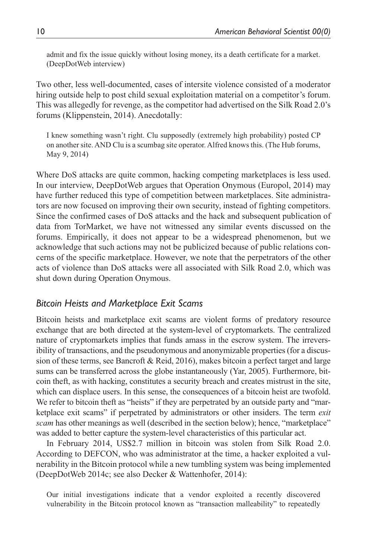admit and fix the issue quickly without losing money, its a death certificate for a market. (DeepDotWeb interview)

Two other, less well-documented, cases of intersite violence consisted of a moderator hiring outside help to post child sexual exploitation material on a competitor's forum. This was allegedly for revenge, as the competitor had advertised on the Silk Road 2.0's forums (Klippenstein, 2014). Anecdotally:

I knew something wasn't right. Clu supposedly (extremely high probability) posted CP on another site. AND Clu is a scumbag site operator. Alfred knows this. (The Hub forums, May 9, 2014)

Where DoS attacks are quite common, hacking competing marketplaces is less used. In our interview, DeepDotWeb argues that Operation Onymous (Europol, 2014) may have further reduced this type of competition between marketplaces. Site administrators are now focused on improving their own security, instead of fighting competitors. Since the confirmed cases of DoS attacks and the hack and subsequent publication of data from TorMarket, we have not witnessed any similar events discussed on the forums. Empirically, it does not appear to be a widespread phenomenon, but we acknowledge that such actions may not be publicized because of public relations concerns of the specific marketplace. However, we note that the perpetrators of the other acts of violence than DoS attacks were all associated with Silk Road 2.0, which was shut down during Operation Onymous.

### *Bitcoin Heists and Marketplace Exit Scams*

Bitcoin heists and marketplace exit scams are violent forms of predatory resource exchange that are both directed at the system-level of cryptomarkets. The centralized nature of cryptomarkets implies that funds amass in the escrow system. The irreversibility of transactions, and the pseudonymous and anonymizable properties (for a discussion of these terms, see Bancroft & Reid, 2016), makes bitcoin a perfect target and large sums can be transferred across the globe instantaneously (Yar, 2005). Furthermore, bitcoin theft, as with hacking, constitutes a security breach and creates mistrust in the site, which can displace users. In this sense, the consequences of a bitcoin heist are twofold. We refer to bitcoin theft as "heists" if they are perpetrated by an outside party and "marketplace exit scams" if perpetrated by administrators or other insiders. The term *exit scam* has other meanings as well (described in the section below); hence, "marketplace" was added to better capture the system-level characteristics of this particular act.

In February 2014, US\$2.7 million in bitcoin was stolen from Silk Road 2.0. According to DEFCON, who was administrator at the time, a hacker exploited a vulnerability in the Bitcoin protocol while a new tumbling system was being implemented (DeepDotWeb 2014c; see also Decker & Wattenhofer, 2014):

Our initial investigations indicate that a vendor exploited a recently discovered vulnerability in the Bitcoin protocol known as "transaction malleability" to repeatedly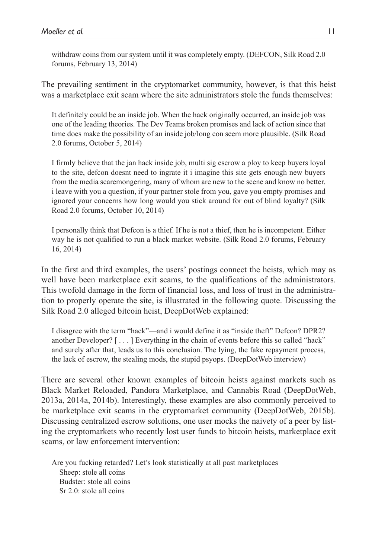withdraw coins from our system until it was completely empty. (DEFCON, Silk Road 2.0 forums, February 13, 2014)

The prevailing sentiment in the cryptomarket community, however, is that this heist was a marketplace exit scam where the site administrators stole the funds themselves:

It definitely could be an inside job. When the hack originally occurred, an inside job was one of the leading theories. The Dev Teams broken promises and lack of action since that time does make the possibility of an inside job/long con seem more plausible. (Silk Road 2.0 forums, October 5, 2014)

I firmly believe that the jan hack inside job, multi sig escrow a ploy to keep buyers loyal to the site, defcon doesnt need to ingrate it i imagine this site gets enough new buyers from the media scaremongering, many of whom are new to the scene and know no better. i leave with you a question, if your partner stole from you, gave you empty promises and ignored your concerns how long would you stick around for out of blind loyalty? (Silk Road 2.0 forums, October 10, 2014)

I personally think that Defcon is a thief. If he is not a thief, then he is incompetent. Either way he is not qualified to run a black market website. (Silk Road 2.0 forums, February 16, 2014)

In the first and third examples, the users' postings connect the heists, which may as well have been marketplace exit scams, to the qualifications of the administrators. This twofold damage in the form of financial loss, and loss of trust in the administration to properly operate the site, is illustrated in the following quote. Discussing the Silk Road 2.0 alleged bitcoin heist, DeepDotWeb explained:

I disagree with the term "hack"—and i would define it as "inside theft" Defcon? DPR2? another Developer? [ . . . ] Everything in the chain of events before this so called "hack" and surely after that, leads us to this conclusion. The lying, the fake repayment process, the lack of escrow, the stealing mods, the stupid psyops. (DeepDotWeb interview)

There are several other known examples of bitcoin heists against markets such as Black Market Reloaded, Pandora Marketplace, and Cannabis Road (DeepDotWeb, 2013a, 2014a, 2014b). Interestingly, these examples are also commonly perceived to be marketplace exit scams in the cryptomarket community (DeepDotWeb, 2015b). Discussing centralized escrow solutions, one user mocks the naivety of a peer by listing the cryptomarkets who recently lost user funds to bitcoin heists, marketplace exit scams, or law enforcement intervention:

Are you fucking retarded? Let's look statistically at all past marketplaces Sheep: stole all coins Budster: stole all coins  $Sr 2.0:$  stole all coins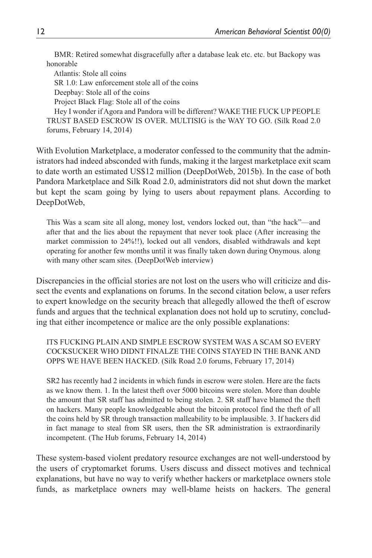BMR: Retired somewhat disgracefully after a database leak etc. etc. but Backopy was honorable

Atlantis: Stole all coins SR 1.0: Law enforcement stole all of the coins Deepbay: Stole all of the coins Project Black Flag: Stole all of the coins Hey I wonder if Agora and Pandora will be different? WAKE THE FUCK UP PEOPLE TRUST BASED ESCROW IS OVER. MULTISIG is the WAY TO GO. (Silk Road 2.0 forums, February 14, 2014)

With Evolution Marketplace, a moderator confessed to the community that the administrators had indeed absconded with funds, making it the largest marketplace exit scam to date worth an estimated US\$12 million (DeepDotWeb, 2015b). In the case of both Pandora Marketplace and Silk Road 2.0, administrators did not shut down the market but kept the scam going by lying to users about repayment plans. According to DeepDotWeb,

This Was a scam site all along, money lost, vendors locked out, than "the hack"—and after that and the lies about the repayment that never took place (After increasing the market commission to 24%!!), locked out all vendors, disabled withdrawals and kept operating for another few months until it was finally taken down during Onymous. along with many other scam sites. (DeepDotWeb interview)

Discrepancies in the official stories are not lost on the users who will criticize and dissect the events and explanations on forums. In the second citation below, a user refers to expert knowledge on the security breach that allegedly allowed the theft of escrow funds and argues that the technical explanation does not hold up to scrutiny, concluding that either incompetence or malice are the only possible explanations:

ITS FUCKING PLAIN AND SIMPLE ESCROW SYSTEM WAS A SCAM SO EVERY COCKSUCKER WHO DIDNT FINALZE THE COINS STAYED IN THE BANK AND OPPS WE HAVE BEEN HACKED. (Silk Road 2.0 forums, February 17, 2014)

SR2 has recently had 2 incidents in which funds in escrow were stolen. Here are the facts as we know them. 1. In the latest theft over 5000 bitcoins were stolen. More than double the amount that SR staff has admitted to being stolen. 2. SR staff have blamed the theft on hackers. Many people knowledgeable about the bitcoin protocol find the theft of all the coins held by SR through transaction malleability to be implausible. 3. If hackers did in fact manage to steal from SR users, then the SR administration is extraordinarily incompetent. (The Hub forums, February 14, 2014)

These system-based violent predatory resource exchanges are not well-understood by the users of cryptomarket forums. Users discuss and dissect motives and technical explanations, but have no way to verify whether hackers or marketplace owners stole funds, as marketplace owners may well-blame heists on hackers. The general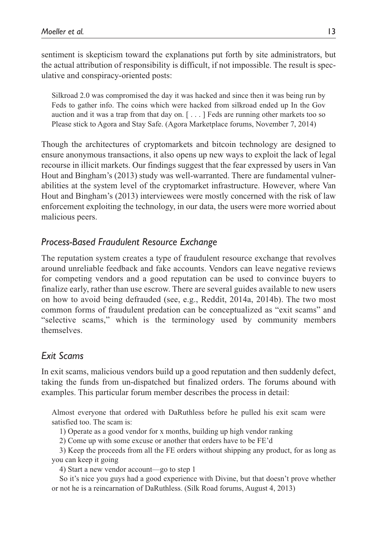sentiment is skepticism toward the explanations put forth by site administrators, but the actual attribution of responsibility is difficult, if not impossible. The result is speculative and conspiracy-oriented posts:

Silkroad 2.0 was compromised the day it was hacked and since then it was being run by Feds to gather info. The coins which were hacked from silkroad ended up In the Gov auction and it was a trap from that day on. [ . . . ] Feds are running other markets too so Please stick to Agora and Stay Safe. (Agora Marketplace forums, November 7, 2014)

Though the architectures of cryptomarkets and bitcoin technology are designed to ensure anonymous transactions, it also opens up new ways to exploit the lack of legal recourse in illicit markets. Our findings suggest that the fear expressed by users in Van Hout and Bingham's (2013) study was well-warranted. There are fundamental vulnerabilities at the system level of the cryptomarket infrastructure. However, where Van Hout and Bingham's (2013) interviewees were mostly concerned with the risk of law enforcement exploiting the technology, in our data, the users were more worried about malicious peers.

# *Process-Based Fraudulent Resource Exchange*

The reputation system creates a type of fraudulent resource exchange that revolves around unreliable feedback and fake accounts. Vendors can leave negative reviews for competing vendors and a good reputation can be used to convince buyers to finalize early, rather than use escrow. There are several guides available to new users on how to avoid being defrauded (see, e.g., Reddit, 2014a, 2014b). The two most common forms of fraudulent predation can be conceptualized as "exit scams" and "selective scams," which is the terminology used by community members themselves.

# *Exit Scams*

In exit scams, malicious vendors build up a good reputation and then suddenly defect, taking the funds from un-dispatched but finalized orders. The forums abound with examples. This particular forum member describes the process in detail:

Almost everyone that ordered with DaRuthless before he pulled his exit scam were satisfied too. The scam is:

- 1) Operate as a good vendor for x months, building up high vendor ranking
- 2) Come up with some excuse or another that orders have to be FE'd
- 3) Keep the proceeds from all the FE orders without shipping any product, for as long as you can keep it going
	- 4) Start a new vendor account—go to step 1

So it's nice you guys had a good experience with Divine, but that doesn't prove whether or not he is a reincarnation of DaRuthless. (Silk Road forums, August 4, 2013)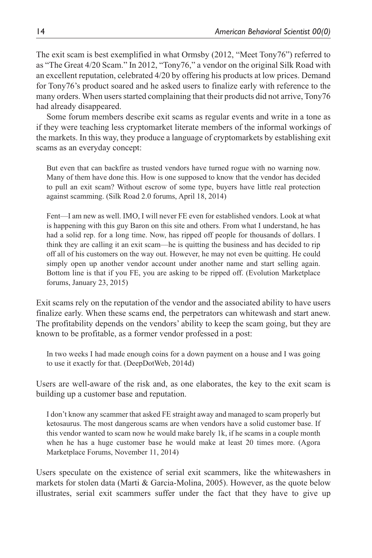The exit scam is best exemplified in what Ormsby (2012, "Meet Tony76") referred to as "The Great 4/20 Scam." In 2012, "Tony76," a vendor on the original Silk Road with an excellent reputation, celebrated 4/20 by offering his products at low prices. Demand for Tony76's product soared and he asked users to finalize early with reference to the many orders. When users started complaining that their products did not arrive, Tony76 had already disappeared.

Some forum members describe exit scams as regular events and write in a tone as if they were teaching less cryptomarket literate members of the informal workings of the markets. In this way, they produce a language of cryptomarkets by establishing exit scams as an everyday concept:

But even that can backfire as trusted vendors have turned rogue with no warning now. Many of them have done this. How is one supposed to know that the vendor has decided to pull an exit scam? Without escrow of some type, buyers have little real protection against scamming. (Silk Road 2.0 forums, April 18, 2014)

Fent—I am new as well. IMO, I will never FE even for established vendors. Look at what is happening with this guy Baron on this site and others. From what I understand, he has had a solid rep. for a long time. Now, has ripped off people for thousands of dollars. I think they are calling it an exit scam—he is quitting the business and has decided to rip off all of his customers on the way out. However, he may not even be quitting. He could simply open up another vendor account under another name and start selling again. Bottom line is that if you FE, you are asking to be ripped off. (Evolution Marketplace forums, January 23, 2015)

Exit scams rely on the reputation of the vendor and the associated ability to have users finalize early. When these scams end, the perpetrators can whitewash and start anew. The profitability depends on the vendors' ability to keep the scam going, but they are known to be profitable, as a former vendor professed in a post:

In two weeks I had made enough coins for a down payment on a house and I was going to use it exactly for that. (DeepDotWeb, 2014d)

Users are well-aware of the risk and, as one elaborates, the key to the exit scam is building up a customer base and reputation.

I don't know any scammer that asked FE straight away and managed to scam properly but ketosaurus. The most dangerous scams are when vendors have a solid customer base. If this vendor wanted to scam now he would make barely 1k, if he scams in a couple month when he has a huge customer base he would make at least 20 times more. (Agora Marketplace Forums, November 11, 2014)

Users speculate on the existence of serial exit scammers, like the whitewashers in markets for stolen data (Marti & Garcia-Molina, 2005). However, as the quote below illustrates, serial exit scammers suffer under the fact that they have to give up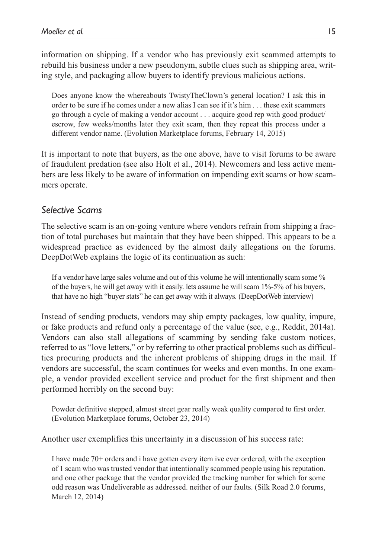information on shipping. If a vendor who has previously exit scammed attempts to rebuild his business under a new pseudonym, subtle clues such as shipping area, writing style, and packaging allow buyers to identify previous malicious actions.

Does anyone know the whereabouts TwistyTheClown's general location? I ask this in order to be sure if he comes under a new alias I can see if it's him . . . these exit scammers go through a cycle of making a vendor account . . . acquire good rep with good product/ escrow, few weeks/months later they exit scam, then they repeat this process under a different vendor name. (Evolution Marketplace forums, February 14, 2015)

It is important to note that buyers, as the one above, have to visit forums to be aware of fraudulent predation (see also Holt et al., 2014). Newcomers and less active members are less likely to be aware of information on impending exit scams or how scammers operate.

## *Selective Scams*

The selective scam is an on-going venture where vendors refrain from shipping a fraction of total purchases but maintain that they have been shipped. This appears to be a widespread practice as evidenced by the almost daily allegations on the forums. DeepDotWeb explains the logic of its continuation as such:

If a vendor have large sales volume and out of this volume he will intentionally scam some % of the buyers, he will get away with it easily. lets assume he will scam 1%-5% of his buyers, that have no high "buyer stats" he can get away with it always. (DeepDotWeb interview)

Instead of sending products, vendors may ship empty packages, low quality, impure, or fake products and refund only a percentage of the value (see, e.g., Reddit, 2014a). Vendors can also stall allegations of scamming by sending fake custom notices, referred to as "love letters," or by referring to other practical problems such as difficulties procuring products and the inherent problems of shipping drugs in the mail. If vendors are successful, the scam continues for weeks and even months. In one example, a vendor provided excellent service and product for the first shipment and then performed horribly on the second buy:

Powder definitive stepped, almost street gear really weak quality compared to first order. (Evolution Marketplace forums, October 23, 2014)

Another user exemplifies this uncertainty in a discussion of his success rate:

I have made 70+ orders and i have gotten every item ive ever ordered, with the exception of 1 scam who was trusted vendor that intentionally scammed people using his reputation. and one other package that the vendor provided the tracking number for which for some odd reason was Undeliverable as addressed. neither of our faults. (Silk Road 2.0 forums, March 12, 2014)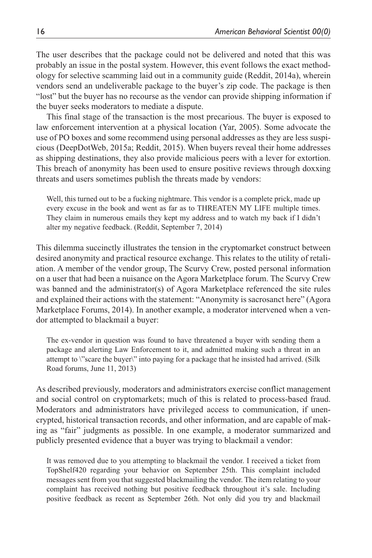The user describes that the package could not be delivered and noted that this was probably an issue in the postal system. However, this event follows the exact methodology for selective scamming laid out in a community guide (Reddit, 2014a), wherein vendors send an undeliverable package to the buyer's zip code. The package is then "lost" but the buyer has no recourse as the vendor can provide shipping information if the buyer seeks moderators to mediate a dispute.

This final stage of the transaction is the most precarious. The buyer is exposed to law enforcement intervention at a physical location (Yar, 2005). Some advocate the use of PO boxes and some recommend using personal addresses as they are less suspicious (DeepDotWeb, 2015a; Reddit, 2015). When buyers reveal their home addresses as shipping destinations, they also provide malicious peers with a lever for extortion. This breach of anonymity has been used to ensure positive reviews through doxxing threats and users sometimes publish the threats made by vendors:

Well, this turned out to be a fucking nightmare. This vendor is a complete prick, made up every excuse in the book and went as far as to THREATEN MY LIFE multiple times. They claim in numerous emails they kept my address and to watch my back if I didn't alter my negative feedback. (Reddit, September 7, 2014)

This dilemma succinctly illustrates the tension in the cryptomarket construct between desired anonymity and practical resource exchange. This relates to the utility of retaliation. A member of the vendor group, The Scurvy Crew, posted personal information on a user that had been a nuisance on the Agora Marketplace forum. The Scurvy Crew was banned and the administrator(s) of Agora Marketplace referenced the site rules and explained their actions with the statement: "Anonymity is sacrosanct here" (Agora Marketplace Forums, 2014). In another example, a moderator intervened when a vendor attempted to blackmail a buyer:

The ex-vendor in question was found to have threatened a buyer with sending them a package and alerting Law Enforcement to it, and admitted making such a threat in an attempt to \"scare the buyer\" into paying for a package that he insisted had arrived. (Silk Road forums, June 11, 2013)

As described previously, moderators and administrators exercise conflict management and social control on cryptomarkets; much of this is related to process-based fraud. Moderators and administrators have privileged access to communication, if unencrypted, historical transaction records, and other information, and are capable of making as "fair" judgments as possible. In one example, a moderator summarized and publicly presented evidence that a buyer was trying to blackmail a vendor:

It was removed due to you attempting to blackmail the vendor. I received a ticket from TopShelf420 regarding your behavior on September 25th. This complaint included messages sent from you that suggested blackmailing the vendor. The item relating to your complaint has received nothing but positive feedback throughout it's sale. Including positive feedback as recent as September 26th. Not only did you try and blackmail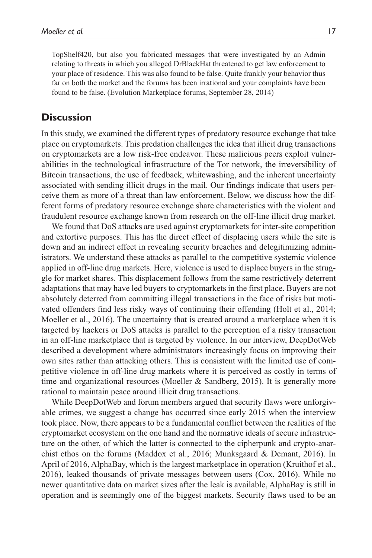TopShelf420, but also you fabricated messages that were investigated by an Admin relating to threats in which you alleged DrBlackHat threatened to get law enforcement to your place of residence. This was also found to be false. Quite frankly your behavior thus far on both the market and the forums has been irrational and your complaints have been found to be false. (Evolution Marketplace forums, September 28, 2014)

### **Discussion**

In this study, we examined the different types of predatory resource exchange that take place on cryptomarkets. This predation challenges the idea that illicit drug transactions on cryptomarkets are a low risk-free endeavor. These malicious peers exploit vulnerabilities in the technological infrastructure of the Tor network, the irreversibility of Bitcoin transactions, the use of feedback, whitewashing, and the inherent uncertainty associated with sending illicit drugs in the mail. Our findings indicate that users perceive them as more of a threat than law enforcement. Below, we discuss how the different forms of predatory resource exchange share characteristics with the violent and fraudulent resource exchange known from research on the off-line illicit drug market.

We found that DoS attacks are used against cryptomarkets for inter-site competition and extortive purposes. This has the direct effect of displacing users while the site is down and an indirect effect in revealing security breaches and delegitimizing administrators. We understand these attacks as parallel to the competitive systemic violence applied in off-line drug markets. Here, violence is used to displace buyers in the struggle for market shares. This displacement follows from the same restrictively deterrent adaptations that may have led buyers to cryptomarkets in the first place. Buyers are not absolutely deterred from committing illegal transactions in the face of risks but motivated offenders find less risky ways of continuing their offending (Holt et al., 2014; Moeller et al., 2016). The uncertainty that is created around a marketplace when it is targeted by hackers or DoS attacks is parallel to the perception of a risky transaction in an off-line marketplace that is targeted by violence. In our interview, DeepDotWeb described a development where administrators increasingly focus on improving their own sites rather than attacking others. This is consistent with the limited use of competitive violence in off-line drug markets where it is perceived as costly in terms of time and organizational resources (Moeller & Sandberg, 2015). It is generally more rational to maintain peace around illicit drug transactions.

While DeepDotWeb and forum members argued that security flaws were unforgivable crimes, we suggest a change has occurred since early 2015 when the interview took place. Now, there appears to be a fundamental conflict between the realities of the cryptomarket ecosystem on the one hand and the normative ideals of secure infrastructure on the other, of which the latter is connected to the cipherpunk and crypto-anarchist ethos on the forums (Maddox et al., 2016; Munksgaard & Demant, 2016). In April of 2016, AlphaBay, which is the largest marketplace in operation (Kruithof et al., 2016), leaked thousands of private messages between users (Cox, 2016). While no newer quantitative data on market sizes after the leak is available, AlphaBay is still in operation and is seemingly one of the biggest markets. Security flaws used to be an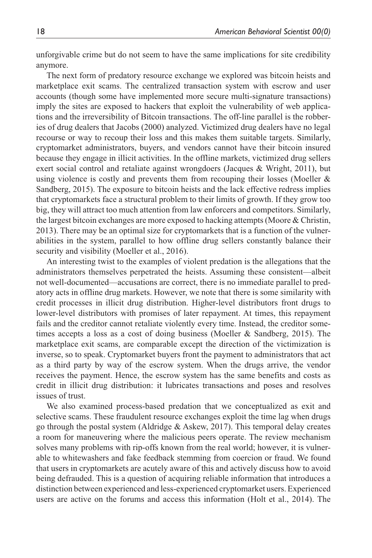unforgivable crime but do not seem to have the same implications for site credibility anymore.

The next form of predatory resource exchange we explored was bitcoin heists and marketplace exit scams. The centralized transaction system with escrow and user accounts (though some have implemented more secure multi-signature transactions) imply the sites are exposed to hackers that exploit the vulnerability of web applications and the irreversibility of Bitcoin transactions. The off-line parallel is the robberies of drug dealers that Jacobs (2000) analyzed. Victimized drug dealers have no legal recourse or way to recoup their loss and this makes them suitable targets. Similarly, cryptomarket administrators, buyers, and vendors cannot have their bitcoin insured because they engage in illicit activities. In the offline markets, victimized drug sellers exert social control and retaliate against wrongdoers (Jacques & Wright, 2011), but using violence is costly and prevents them from recouping their losses (Moeller  $\&$ Sandberg, 2015). The exposure to bitcoin heists and the lack effective redress implies that cryptomarkets face a structural problem to their limits of growth. If they grow too big, they will attract too much attention from law enforcers and competitors. Similarly, the largest bitcoin exchanges are more exposed to hacking attempts (Moore & Christin, 2013). There may be an optimal size for cryptomarkets that is a function of the vulnerabilities in the system, parallel to how offline drug sellers constantly balance their security and visibility (Moeller et al., 2016).

An interesting twist to the examples of violent predation is the allegations that the administrators themselves perpetrated the heists. Assuming these consistent—albeit not well-documented—accusations are correct, there is no immediate parallel to predatory acts in offline drug markets. However, we note that there is some similarity with credit processes in illicit drug distribution. Higher-level distributors front drugs to lower-level distributors with promises of later repayment. At times, this repayment fails and the creditor cannot retaliate violently every time. Instead, the creditor sometimes accepts a loss as a cost of doing business (Moeller  $\&$  Sandberg, 2015). The marketplace exit scams, are comparable except the direction of the victimization is inverse, so to speak. Cryptomarket buyers front the payment to administrators that act as a third party by way of the escrow system. When the drugs arrive, the vendor receives the payment. Hence, the escrow system has the same benefits and costs as credit in illicit drug distribution: it lubricates transactions and poses and resolves issues of trust.

We also examined process-based predation that we conceptualized as exit and selective scams. These fraudulent resource exchanges exploit the time lag when drugs go through the postal system (Aldridge & Askew, 2017). This temporal delay creates a room for maneuvering where the malicious peers operate. The review mechanism solves many problems with rip-offs known from the real world; however, it is vulnerable to whitewashers and fake feedback stemming from coercion or fraud. We found that users in cryptomarkets are acutely aware of this and actively discuss how to avoid being defrauded. This is a question of acquiring reliable information that introduces a distinction between experienced and less-experienced cryptomarket users. Experienced users are active on the forums and access this information (Holt et al., 2014). The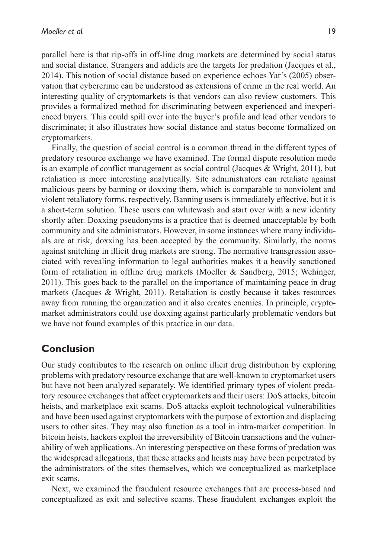parallel here is that rip-offs in off-line drug markets are determined by social status and social distance. Strangers and addicts are the targets for predation (Jacques et al., 2014). This notion of social distance based on experience echoes Yar's (2005) observation that cybercrime can be understood as extensions of crime in the real world. An interesting quality of cryptomarkets is that vendors can also review customers. This provides a formalized method for discriminating between experienced and inexperienced buyers. This could spill over into the buyer's profile and lead other vendors to discriminate; it also illustrates how social distance and status become formalized on cryptomarkets.

Finally, the question of social control is a common thread in the different types of predatory resource exchange we have examined. The formal dispute resolution mode is an example of conflict management as social control (Jacques & Wright, 2011), but retaliation is more interesting analytically. Site administrators can retaliate against malicious peers by banning or doxxing them, which is comparable to nonviolent and violent retaliatory forms, respectively. Banning users is immediately effective, but it is a short-term solution. These users can whitewash and start over with a new identity shortly after. Doxxing pseudonyms is a practice that is deemed unacceptable by both community and site administrators. However, in some instances where many individuals are at risk, doxxing has been accepted by the community. Similarly, the norms against snitching in illicit drug markets are strong. The normative transgression associated with revealing information to legal authorities makes it a heavily sanctioned form of retaliation in offline drug markets (Moeller & Sandberg, 2015; Wehinger, 2011). This goes back to the parallel on the importance of maintaining peace in drug markets (Jacques & Wright, 2011). Retaliation is costly because it takes resources away from running the organization and it also creates enemies. In principle, cryptomarket administrators could use doxxing against particularly problematic vendors but we have not found examples of this practice in our data.

### **Conclusion**

Our study contributes to the research on online illicit drug distribution by exploring problems with predatory resource exchange that are well-known to cryptomarket users but have not been analyzed separately. We identified primary types of violent predatory resource exchanges that affect cryptomarkets and their users: DoS attacks, bitcoin heists, and marketplace exit scams. DoS attacks exploit technological vulnerabilities and have been used against cryptomarkets with the purpose of extortion and displacing users to other sites. They may also function as a tool in intra-market competition. In bitcoin heists, hackers exploit the irreversibility of Bitcoin transactions and the vulnerability of web applications. An interesting perspective on these forms of predation was the widespread allegations, that these attacks and heists may have been perpetrated by the administrators of the sites themselves, which we conceptualized as marketplace exit scams.

Next, we examined the fraudulent resource exchanges that are process-based and conceptualized as exit and selective scams. These fraudulent exchanges exploit the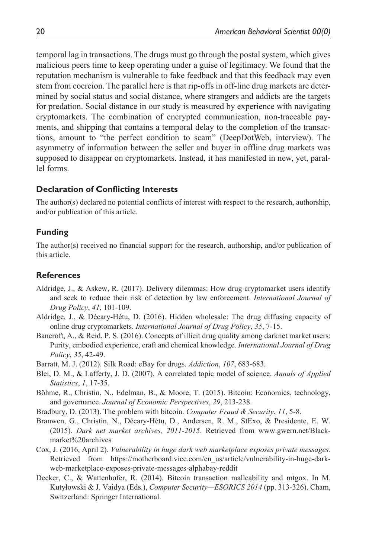temporal lag in transactions. The drugs must go through the postal system, which gives malicious peers time to keep operating under a guise of legitimacy. We found that the reputation mechanism is vulnerable to fake feedback and that this feedback may even stem from coercion. The parallel here is that rip-offs in off-line drug markets are determined by social status and social distance, where strangers and addicts are the targets for predation. Social distance in our study is measured by experience with navigating cryptomarkets. The combination of encrypted communication, non-traceable payments, and shipping that contains a temporal delay to the completion of the transactions, amount to "the perfect condition to scam" (DeepDotWeb, interview). The asymmetry of information between the seller and buyer in offline drug markets was supposed to disappear on cryptomarkets. Instead, it has manifested in new, yet, parallel forms.

#### **Declaration of Conflicting Interests**

The author(s) declared no potential conflicts of interest with respect to the research, authorship, and/or publication of this article.

#### **Funding**

The author(s) received no financial support for the research, authorship, and/or publication of this article.

#### **References**

- Aldridge, J., & Askew, R. (2017). Delivery dilemmas: How drug cryptomarket users identify and seek to reduce their risk of detection by law enforcement. *International Journal of Drug Policy*, *41*, 101-109.
- Aldridge, J., & Décary-Hétu, D. (2016). Hidden wholesale: The drug diffusing capacity of online drug cryptomarkets. *International Journal of Drug Policy*, *35*, 7-15.
- Bancroft, A., & Reid, P. S. (2016). Concepts of illicit drug quality among darknet market users: Purity, embodied experience, craft and chemical knowledge. *International Journal of Drug Policy*, *35*, 42-49.
- Barratt, M. J. (2012). Silk Road: eBay for drugs. *Addiction*, *107*, 683-683.
- Blei, D. M., & Lafferty, J. D. (2007). A correlated topic model of science. *Annals of Applied Statistics*, *1*, 17-35.
- Böhme, R., Christin, N., Edelman, B., & Moore, T. (2015). Bitcoin: Economics, technology, and governance. *Journal of Economic Perspectives*, *29*, 213-238.
- Bradbury, D. (2013). The problem with bitcoin. *Computer Fraud & Security*, *11*, 5-8.
- Branwen, G., Christin, N., Décary-Hétu, D., Andersen, R. M., StExo, & Presidente, E. W. (2015). *Dark net market archives, 2011-2015*. Retrieved from [www.gwern.net/Black](www.gwern.net/Black-market%20archives)[market%20archives](www.gwern.net/Black-market%20archives)
- Cox, J. (2016, April 2). *Vulnerability in huge dark web marketplace exposes private messages*. Retrieved from [https://motherboard.vice.com/en\\_us/article/vulnerability-in-huge-dark](https://motherboard.vice.com/en_us/article/vulnerability-in-huge-dark-web-marketplace-exposes-private-messages-alphabay-reddit)[web-marketplace-exposes-private-messages-alphabay-reddit](https://motherboard.vice.com/en_us/article/vulnerability-in-huge-dark-web-marketplace-exposes-private-messages-alphabay-reddit)
- Decker, C., & Wattenhofer, R. (2014). Bitcoin transaction malleability and mtgox. In M. Kutyłowski & J. Vaidya (Eds.), *Computer Security—ESORICS 2014* (pp. 313-326). Cham, Switzerland: Springer International.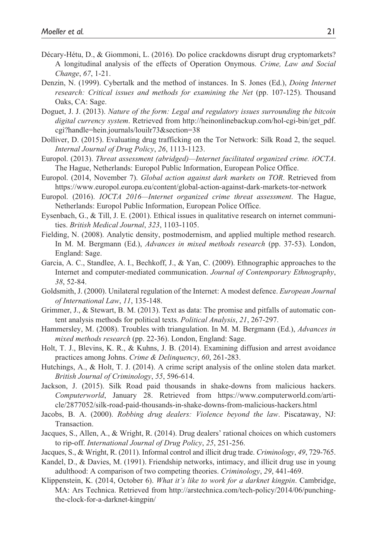- Décary-Hétu, D., & Giommoni, L. (2016). Do police crackdowns disrupt drug cryptomarkets? A longitudinal analysis of the effects of Operation Onymous. *Crime, Law and Social Change*, *67*, 1-21.
- Denzin, N. (1999). Cybertalk and the method of instances. In S. Jones (Ed.), *Doing Internet research: Critical issues and methods for examining the Net* (pp. 107-125). Thousand Oaks, CA: Sage.
- Doguet, J. J. (2013). *Nature of the form: Legal and regulatory issues surrounding the bitcoin digital currency system*. Retrieved from [http://heinonlinebackup.com/hol-cgi-bin/get\\_pdf.](http://heinonlinebackup.com/hol-cgi-bin/get_pdf.cgi?handle=hein.journals/louilr73§ion=38) [cgi?handle=hein.journals/louilr73&section=38](http://heinonlinebackup.com/hol-cgi-bin/get_pdf.cgi?handle=hein.journals/louilr73§ion=38)
- Dolliver, D. (2015). Evaluating drug trafficking on the Tor Network: Silk Road 2, the sequel. *Internal Journal of Drug Policy*, *26*, 1113-1123.
- Europol. (2013). *Threat assessment (abridged)—Internet facilitated organized crime. iOCTA*. The Hague, Netherlands: Europol Public Information, European Police Office.
- Europol. (2014, November 7). *Global action against dark markets on TOR*. Retrieved from <https://www.europol.europa.eu/content/global-action-against-dark-markets-tor-network>
- Europol. (2016). *IOCTA 2016—Internet organized crime threat assessment*. The Hague, Netherlands: Europol Public Information, European Police Office.
- Eysenbach, G., & Till, J. E. (2001). Ethical issues in qualitative research on internet communities. *British Medical Journal*, *323*, 1103-1105.
- Fielding, N. (2008). Analytic density, postmodernism, and applied multiple method research. In M. M. Bergmann (Ed.), *Advances in mixed methods research* (pp. 37-53). London, England: Sage.
- Garcia, A. C., Standlee, A. I., Bechkoff, J., & Yan, C. (2009). Ethnographic approaches to the Internet and computer-mediated communication. *Journal of Contemporary Ethnography*, *38*, 52-84.
- Goldsmith, J. (2000). Unilateral regulation of the Internet: A modest defence. *European Journal of International Law*, *11*, 135-148.
- Grimmer, J., & Stewart, B. M. (2013). Text as data: The promise and pitfalls of automatic content analysis methods for political texts. *Political Analysis*, *21*, 267-297.
- Hammersley, M. (2008). Troubles with triangulation. In M. M. Bergmann (Ed.), *Advances in mixed methods research* (pp. 22-36). London, England: Sage.
- Holt, T. J., Blevins, K. R., & Kuhns, J. B. (2014). Examining diffusion and arrest avoidance practices among Johns. *Crime & Delinquency*, *60*, 261-283.
- Hutchings, A., & Holt, T. J. (2014). A crime script analysis of the online stolen data market. *British Journal of Criminology*, *55*, 596-614.
- Jackson, J. (2015). Silk Road paid thousands in shake-downs from malicious hackers. *Computerworld*, January 28. Retrieved from [https://www.computerworld.com/arti](https://www.computerworld.com/article/2877052/silk-road-paid-thousands-in-shake-downs-from-malicious-hackers.html)[cle/2877052/silk-road-paid-thousands-in-shake-downs-from-malicious-hackers.html](https://www.computerworld.com/article/2877052/silk-road-paid-thousands-in-shake-downs-from-malicious-hackers.html)
- Jacobs, B. A. (2000). *Robbing drug dealers: Violence beyond the law*. Piscataway, NJ: Transaction.
- Jacques, S., Allen, A., & Wright, R. (2014). Drug dealers' rational choices on which customers to rip-off. *International Journal of Drug Policy*, *25*, 251-256.
- Jacques, S., & Wright, R. (2011). Informal control and illicit drug trade. *Criminology*, *49*, 729-765.
- Kandel, D., & Davies, M. (1991). Friendship networks, intimacy, and illicit drug use in young adulthood: A comparison of two competing theories. *Criminology*, *29*, 441-469.
- Klippenstein, K. (2014, October 6). *What it's like to work for a darknet kingpin*. Cambridge, MA: Ars Technica. Retrieved from [http://arstechnica.com/tech-policy/2014/06/punching](http://arstechnica.com/tech-policy/2014/06/punching-the-clock-for-a-darknet-kingpin/)[the-clock-for-a-darknet-kingpin/](http://arstechnica.com/tech-policy/2014/06/punching-the-clock-for-a-darknet-kingpin/)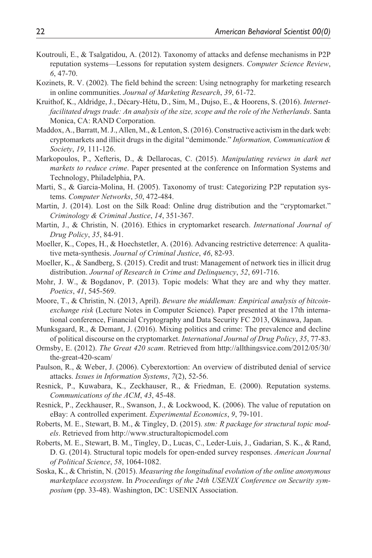- Koutrouli, E., & Tsalgatidou, A. (2012). Taxonomy of attacks and defense mechanisms in P2P reputation systems—Lessons for reputation system designers. *Computer Science Review*, *6*, 47-70.
- Kozinets, R. V. (2002). The field behind the screen: Using netnography for marketing research in online communities. *Journal of Marketing Research*, *39*, 61-72.
- Kruithof, K., Aldridge, J., Décary-Hétu, D., Sim, M., Dujso, E., & Hoorens, S. (2016). *Internetfacilitated drugs trade: An analysis of the size, scope and the role of the Netherlands*. Santa Monica, CA: RAND Corporation.
- Maddox, A., Barratt, M. J., Allen, M., & Lenton, S. (2016). Constructive activism in the dark web: cryptomarkets and illicit drugs in the digital "demimonde." *Information, Communication & Society*, *19*, 111-126.
- Markopoulos, P., Xefteris, D., & Dellarocas, C. (2015). *Manipulating reviews in dark net markets to reduce crime*. Paper presented at the conference on Information Systems and Technology, Philadelphia, PA.
- Marti, S., & Garcia-Molina, H. (2005). Taxonomy of trust: Categorizing P2P reputation systems. *Computer Networks*, *50*, 472-484.
- Martin, J. (2014). Lost on the Silk Road: Online drug distribution and the "cryptomarket." *Criminology & Criminal Justice*, *14*, 351-367.
- Martin, J., & Christin, N. (2016). Ethics in cryptomarket research. *International Journal of Drug Policy*, *35*, 84-91.
- Moeller, K., Copes, H., & Hoechstetler, A. (2016). Advancing restrictive deterrence: A qualitative meta-synthesis. *Journal of Criminal Justice*, *46*, 82-93.
- Moeller, K., & Sandberg, S. (2015). Credit and trust: Management of network ties in illicit drug distribution. *Journal of Research in Crime and Delinquency*, *52*, 691-716.
- Mohr, J. W., & Bogdanov, P. (2013). Topic models: What they are and why they matter. *Poetics*, *41*, 545-569.
- Moore, T., & Christin, N. (2013, April). *Beware the middleman: Empirical analysis of bitcoinexchange risk* (Lecture Notes in Computer Science). Paper presented at the 17th international conference, Financial Cryptography and Data Security FC 2013, Okinawa, Japan.
- Munksgaard, R., & Demant, J. (2016). Mixing politics and crime: The prevalence and decline of political discourse on the cryptomarket. *International Journal of Drug Policy*, *35*, 77-83.
- Ormsby, E. (2012). *The Great 420 scam*. Retrieved from [http://allthingsvice.com/2012/05/30/](http://allthingsvice.com/2012/05/30/the-great-420-scam/) [the-great-420-scam/](http://allthingsvice.com/2012/05/30/the-great-420-scam/)
- Paulson, R., & Weber, J. (2006). Cyberextortion: An overview of distributed denial of service attacks. *Issues in Information Systems*, *7*(2), 52-56.
- Resnick, P., Kuwabara, K., Zeckhauser, R., & Friedman, E. (2000). Reputation systems. *Communications of the ACM*, *43*, 45-48.
- Resnick, P., Zeckhauser, R., Swanson, J., & Lockwood, K. (2006). The value of reputation on eBay: A controlled experiment. *Experimental Economics*, *9*, 79-101.
- Roberts, M. E., Stewart, B. M., & Tingley, D. (2015). *stm: R package for structural topic models*. Retrieved from<http://www.structuraltopicmodel.com>
- Roberts, M. E., Stewart, B. M., Tingley, D., Lucas, C., Leder-Luis, J., Gadarian, S. K., & Rand, D. G. (2014). Structural topic models for open-ended survey responses. *American Journal of Political Science*, *58*, 1064-1082.
- Soska, K., & Christin, N. (2015). *Measuring the longitudinal evolution of the online anonymous marketplace ecosystem*. In *Proceedings of the 24th USENIX Conference on Security symposium* (pp. 33-48). Washington, DC: USENIX Association.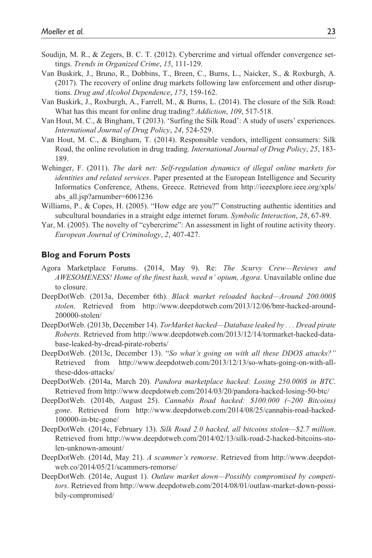- Soudijn, M. R., & Zegers, B. C. T. (2012). Cybercrime and virtual offender convergence settings. *Trends in Organized Crime*, *15*, 111-129.
- Van Buskirk, J., Bruno, R., Dobbins, T., Breen, C., Burns, L., Naicker, S., & Roxburgh, A. (2017). The recovery of online drug markets following law enforcement and other disruptions. *Drug and Alcohol Dependence*, *173*, 159-162.
- Van Buskirk, J., Roxburgh, A., Farrell, M., & Burns, L. (2014). The closure of the Silk Road: What has this meant for online drug trading? *Addiction*, *109*, 517-518.
- Van Hout, M. C., & Bingham, T (2013). 'Surfing the Silk Road': A study of users' experiences. *International Journal of Drug Policy*, *24*, 524-529.
- Van Hout, M. C., & Bingham, T. (2014). Responsible vendors, intelligent consumers: Silk Road, the online revolution in drug trading. *International Journal of Drug Policy*, *25*, 183- 189.
- Wehinger, F. (2011). *The dark net: Self-regulation dynamics of illegal online markets for identities and related services*. Paper presented at the European Intelligence and Security Informatics Conference, Athens, Greece. Retrieved from [http://ieeexplore.ieee.org/xpls/](http://ieeexplore.ieee.org/xpls/abs_all.jsp?arnumber=6061236) [abs\\_all.jsp?arnumber=6061236](http://ieeexplore.ieee.org/xpls/abs_all.jsp?arnumber=6061236)
- Williams, P., & Copes, H. (2005). "How edge are you?" Constructing authentic identities and subcultural boundaries in a straight edge internet forum. *Symbolic Interaction*, *28*, 67-89.
- Yar, M. (2005). The novelty of "cybercrime": An assessment in light of routine activity theory. *European Journal of Criminology*, *2*, 407-427.

#### **Blog and Forum Posts**

- Agora Marketplace Forums. (2014, May 9). Re: *The Scurvy Crew—Reviews and AWESOMENESS! Home of the finest hash, weed n' opium, Agora*. Unavailable online due to closure.
- DeepDotWeb. (2013a, December 6th). *Black market reloaded hacked—Around 200.000\$ stolen*. Retrieved from [http://www.deepdotweb.com/2013/12/06/bmr-hacked-around-](http://www.deepdotweb.com/2013/12/06/bmr-hacked-around-200000-stolen/)[200000-stolen/](http://www.deepdotweb.com/2013/12/06/bmr-hacked-around-200000-stolen/)
- DeepDotWeb. (2013b, December 14). *TorMarket hacked—Database leaked by . . . Dread pirate Roberts*. Retrieved from [http://www.deepdotweb.com/2013/12/14/tormarket-hacked-data](http://www.deepdotweb.com/2013/12/14/tormarket-hacked-database-leaked-by-dread-pirate-roberts/)[base-leaked-by-dread-pirate-roberts/](http://www.deepdotweb.com/2013/12/14/tormarket-hacked-database-leaked-by-dread-pirate-roberts/)
- DeepDotWeb. (2013c, December 13). "*So what's going on with all these DDOS attacks?"* Retrieved from [http://www.deepdotweb.com/2013/12/13/so-whats-going-on-with-all](http://www.deepdotweb.com/2013/12/13/so-whats-going-on-with-all-these-ddos-attacks/)[these-ddos-attacks/](http://www.deepdotweb.com/2013/12/13/so-whats-going-on-with-all-these-ddos-attacks/)
- DeepDotWeb. (2014a, March 20). *Pandora marketplace hacked: Losing 250.000\$ in BTC*. Retrieved from <http://www.deepdotweb.com/2014/03/20/pandora-hacked-losing-50-btc/>
- DeepDotWeb. (2014b, August 25). *Cannabis Road hacked: \$100.000 (~200 Bitcoins) gone*. Retrieved from [http://www.deepdotweb.com/2014/08/25/cannabis-road-hacked-](http://www.deepdotweb.com/2014/08/25/cannabis-road-hacked-100000-in-btc-gone/)[100000-in-btc-gone/](http://www.deepdotweb.com/2014/08/25/cannabis-road-hacked-100000-in-btc-gone/)
- DeepDotWeb. (2014c, February 13). *Silk Road 2.0 hacked, all bitcoins stolen—\$2.7 million*. Retrieved from [http://www.deepdotweb.com/2014/02/13/silk-road-2-hacked-bitcoins-sto](http://www.deepdotweb.com/2014/02/13/silk-road-2-hacked-bitcoins-stolen-unknown-amount/)[len-unknown-amount/](http://www.deepdotweb.com/2014/02/13/silk-road-2-hacked-bitcoins-stolen-unknown-amount/)
- DeepDotWeb. (2014d, May 21). *A scammer's remorse*. Retrieved from [http://www.deepdot](http://www.deepdotweb.co/2014/05/21/scammers-remorse/)[web.co/2014/05/21/scammers-remorse/](http://www.deepdotweb.co/2014/05/21/scammers-remorse/)
- DeepDotWeb. (2014e, August 1). *Outlaw market down—Possibly compromised by competitors*. Retrieved from [http://www.deepdotweb.com/2014/08/01/outlaw-market-down-possi](http://www.deepdotweb.com/2014/08/01/outlaw-market-down-possibily-compromised/)[bily-compromised/](http://www.deepdotweb.com/2014/08/01/outlaw-market-down-possibily-compromised/)